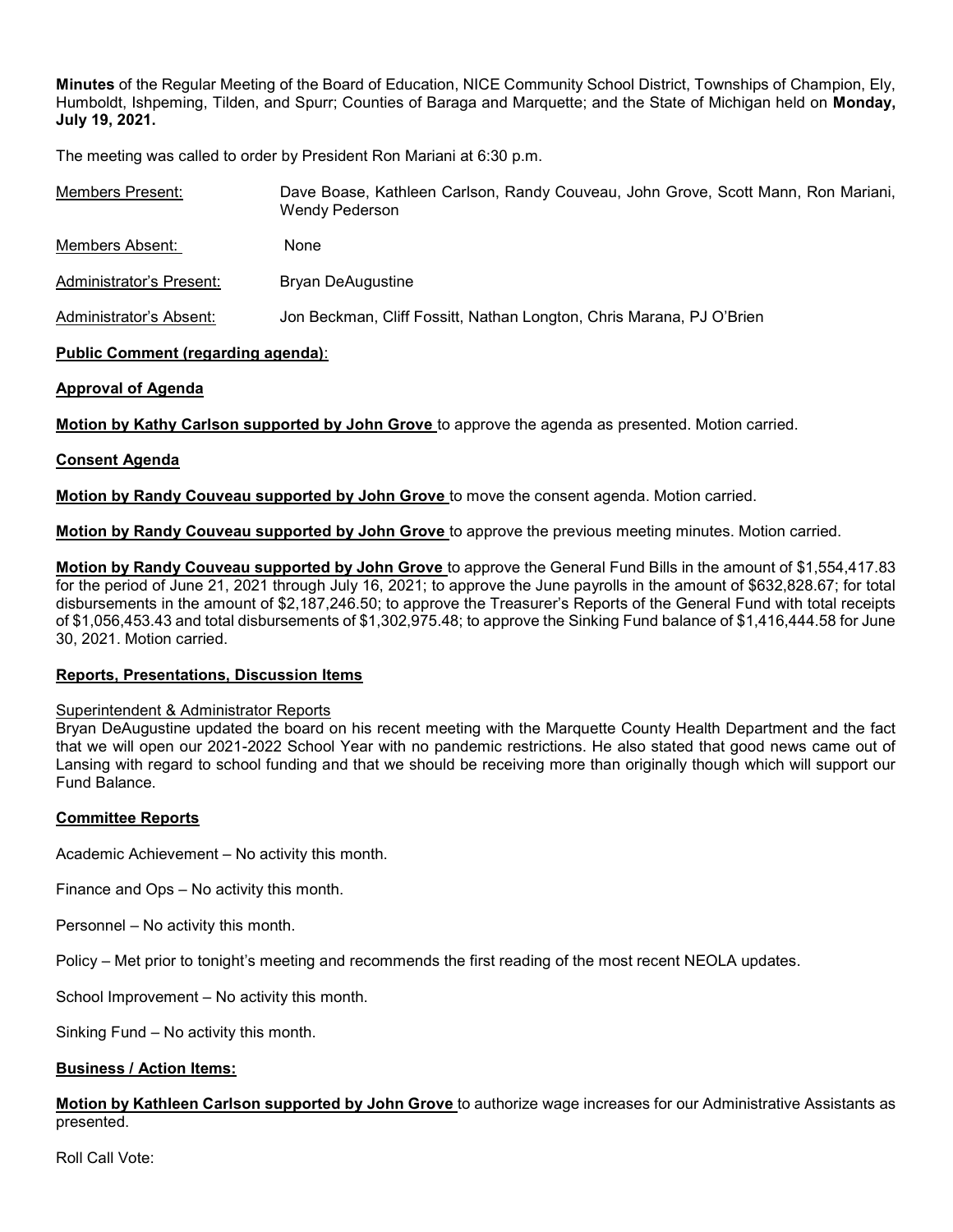Minutes of the Regular Meeting of the Board of Education, NICE Community School District, Townships of Champion, Ely, Humboldt, Ishpeming, Tilden, and Spurr; Counties of Baraga and Marquette; and the State of Michigan held on Monday, July 19, 2021.

The meeting was called to order by President Ron Mariani at 6:30 p.m.

| Members Present:         | Dave Boase, Kathleen Carlson, Randy Couveau, John Grove, Scott Mann, Ron Mariani,<br>Wendy Pederson |
|--------------------------|-----------------------------------------------------------------------------------------------------|
| Members Absent:          | None                                                                                                |
| Administrator's Present: | Bryan DeAugustine                                                                                   |
| Administrator's Absent:  | Jon Beckman, Cliff Fossitt, Nathan Longton, Chris Marana, PJ O'Brien                                |

# Public Comment (regarding agenda):

# Approval of Agenda

Motion by Kathy Carlson supported by John Grove to approve the agenda as presented. Motion carried.

# Consent Agenda

**Motion by Randy Couveau supported by John Grove** to move the consent agenda. Motion carried.

Motion by Randy Couveau supported by John Grove to approve the previous meeting minutes. Motion carried.

Motion by Randy Couveau supported by John Grove to approve the General Fund Bills in the amount of \$1,554,417.83 for the period of June 21, 2021 through July 16, 2021; to approve the June payrolls in the amount of \$632,828.67; for total disbursements in the amount of \$2,187,246.50; to approve the Treasurer's Reports of the General Fund with total receipts of \$1,056,453.43 and total disbursements of \$1,302,975.48; to approve the Sinking Fund balance of \$1,416,444.58 for June 30, 2021. Motion carried.

#### Reports, Presentations, Discussion Items

#### Superintendent & Administrator Reports

Bryan DeAugustine updated the board on his recent meeting with the Marquette County Health Department and the fact that we will open our 2021-2022 School Year with no pandemic restrictions. He also stated that good news came out of Lansing with regard to school funding and that we should be receiving more than originally though which will support our Fund Balance.

#### Committee Reports

Academic Achievement – No activity this month.

Finance and Ops – No activity this month.

Personnel – No activity this month.

Policy – Met prior to tonight's meeting and recommends the first reading of the most recent NEOLA updates.

School Improvement – No activity this month.

Sinking Fund – No activity this month.

#### Business / Action Items:

Motion by Kathleen Carlson supported by John Grove to authorize wage increases for our Administrative Assistants as presented.

Roll Call Vote: